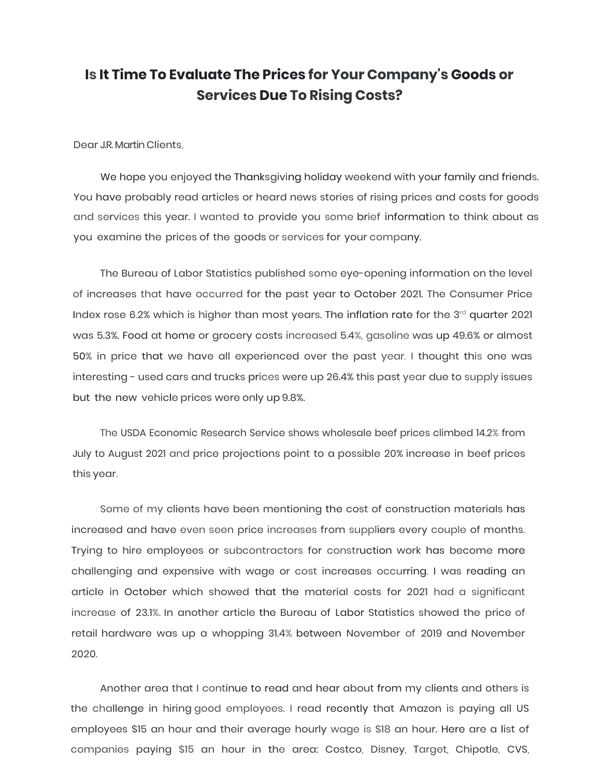## **Is It Time To Evaluate The Prices for Your Company's Goods or Services Due To Rising Costs?**

Dear J.R. Martin Clients,

We hope you enjoyed the Thanksgiving holiday weekend with your family and friends. You have probably read articles or heard news stories of rising prices and costs for goods and services this year. I wanted to provide you some brief information to think about as you examine the prices of the goods or services for your company.

The Bureau of Labor Statistics published some eye-opening information on the level of increases that have occurred for the past year to October 2021. The Consumer Price Index rose 6.2% which is higher than most years. The inflation rate for the  $3^{rd}$  quarter 2021 was 5.3%. Food at home or grocery costs increased 5.4%, gasoline was up 49.6% or almost 50% in price that we have all experienced over the past year. I thought this one was interesting - used cars and trucks prices were up 26.4% this past year due to supply issues but the new vehicle prices were only up 9.8%.

The USDA Economic Research Service shows wholesale beef prices climbed 14.2% from July to August 2021 and price projections point to a possible 20% increase in beef prices this year.

Some of my clients have been mentioning the cost of construction materials has increased and have even seen price increases from suppliers every couple of months. Trying to hire employees or subcontractors for construction work has become more challenging and expensive with wage or cost increases occurring. I was reading an article in October which showed that the material costs for 2021 had a significant increase of 23.1%. In another article the Bureau of Labor Statistics showed the price of retail hardware was up a whopping 31.4% between November of 2019 and November 2020.

Another area that I continue to read and hear about from my clients and others is the challenge in hiring good employees. I read recently that Amazon is paying all US employees \$15 an hour and their average hourly wage is \$18 an hour. Here are a list of companies paying \$15 an hour in the area: Costco, Disney, Target, Chipotle, CVS,